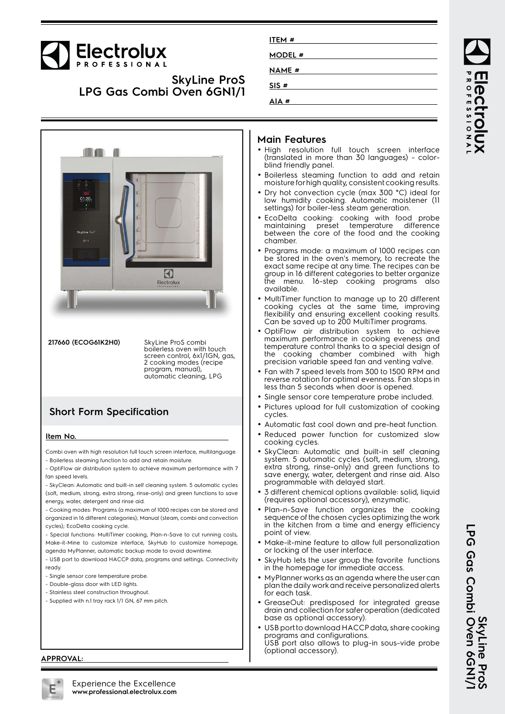# Electrolux

**SkyLine ProS LPG Gas Combi Oven 6GN1/1**



**217660 (ECOG61K2H0)** SkyLine ProS combi boilerless oven with touch screen control, 6x1/1GN, gas, 2 cooking modes (recipe program, manual), automatic cleaning, LPG

## **Short Form Specification**

#### **Item No.**

Combi oven with high resolution full touch screen interface, multilanguage. - Boilerless steaming function to add and retain moisture.

- OptiFlow air distribution system to achieve maximum performance with 7 fan speed levels.

- SkyClean: Automatic and built-in self cleaning system. 5 automatic cycles (soft, medium, strong, extra strong, rinse-only) and green functions to save energy, water, detergent and rinse aid.

- Cooking modes: Programs (a maximum of 1000 recipes can be stored and organized in 16 different categories); Manual (steam, combi and convection cycles); EcoDelta cooking cycle.

- Special functions: MultiTimer cooking, Plan-n-Save to cut running costs, Make-it-Mine to customize interface, SkyHub to customize homepage, agenda MyPlanner, automatic backup mode to avoid downtime.

- USB port to download HACCP data, programs and settings. Connectivity ready.

- Single sensor core temperature probe.
- Double-glass door with LED lights.
- Stainless steel construction throughout.
- Supplied with n.1 tray rack 1/1 GN, 67 mm pitch.

#### **Main Features**

**ITEM # MODEL # NAME # SIS # AIA #**

- High resolution full touch screen interface (translated in more than 30 languages) - colorblind friendly panel.
- Boilerless steaming function to add and retain moisture for high quality, consistent cooking results.
- • Dry hot convection cycle (max 300 °C) ideal for low humidity cooking. Automatic moistener (11 settings) for boiler-less steam generation.
- EcoDelta cooking: cooking with food probe maintaining preset temperature difference between the core of the food and the cooking chamber.
- Programs mode: a maximum of 1000 recipes can be stored in the oven's memory, to recreate the exact same recipe at any time. The recipes can be group in 16 different categories to better organize the menu. 16-step cooking programs also available.
- MultiTimer function to manage up to 20 different cooking cycles at the same time, improving flexibility and ensuring excellent cooking results. Can be saved up to 200 MultiTimer programs.
- • OptiFlow air distribution system to achieve maximum performance in cooking eveness and temperature control thanks to a special design of the cooking chamber combined with high precision variable speed fan and venting valve.
- Fan with 7 speed levels from 300 to 1500 RPM and reverse rotation for optimal evenness. Fan stops in less than 5 seconds when door is opened.
- Single sensor core temperature probe included.
- • Pictures upload for full customization of cooking cycles.
- Automatic fast cool down and pre-heat function.
- Reduced power function for customized slow cooking cycles.
- • SkyClean: Automatic and built-in self cleaning system. 5 automatic cycles (soft, medium, strong, extra strong, rinse-only) and green functions to save energy, water, detergent and rinse aid. Also programmable with delayed start.
- • 3 different chemical options available: solid, liquid (requires optional accessory), enzymatic.
- • Plan-n-Save function organizes the cooking sequence of the chosen cycles optimizing the work in the kitchen from a time and energy efficiency point of view.
- • Make-it-mine feature to allow full personalization or locking of the user interface.
- • SkyHub lets the user group the favorite functions in the homepage for immediate access.
- • MyPlanner works as an agenda where the user can plan the daily work and receive personalized alerts for each task.
- GreaseOut: predisposed for integrated grease drain and collection for safer operation (dedicated base as optional accessory).
- • USB port to download HACCP data, share cooking programs and configurations. USB port also allows to plug-in sous-vide probe (optional accessory).

**APPROVAL:**



**ROFESSIONA PCCI** roldx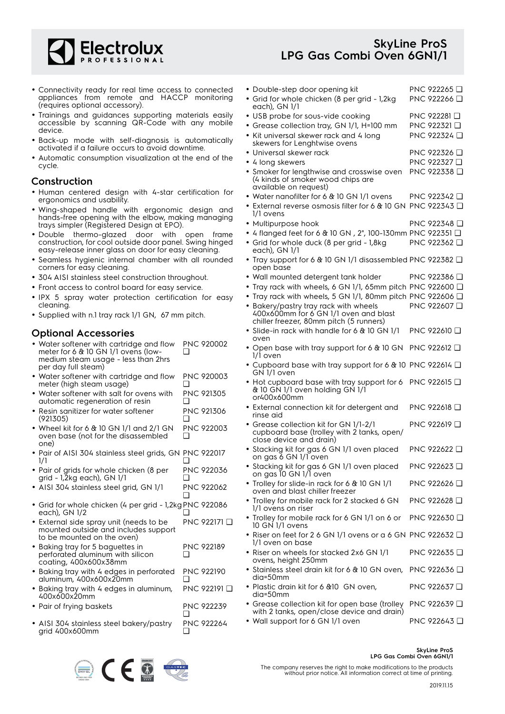

### **SkyLine ProS LPG Gas Combi Oven 6GN1/1**

- Connectivity ready for real time access to connected appliances from remote and HACCP monitoring (requires optional accessory).
- Trainings and guidances supporting materials easily accessible by scanning QR-Code with any mobile device.
- Back-up mode with self-diagnosis is automatically activated if a failure occurs to avoid downtime.
- Automatic consumption visualization at the end of the cycle.

#### **Construction**

- Human centered design with 4-star certification for ergonomics and usability.
- Wing-shaped handle with ergonomic design and hands-free opening with the elbow, making managing trays simpler (Registered Design at EPO).
- Double thermo-glazed door with open frame construction, for cool outside door panel. Swing hinged easy-release inner glass on door for easy cleaning.
- Seamless hygienic internal chamber with all rounded corners for easy cleaning.
- 304 AISI stainless steel construction throughout.
- Front access to control board for easy service.
- IPX 5 spray water protection certification for easy cleaning.
- Supplied with n.1 tray rack 1/1 GN, 67 mm pitch.

#### **Optional Accessories**

- Water softener with cartridge and flow meter for 6 & 10 GN 1/1 ovens (lowmedium steam usage - less than 2hrs per day full steam) PNC 920002 ❑
- Water softener with cartridge and flow meter (high steam usage) PNC 920003  $\Box$
- Water softener with salt for ovens with automatic regeneration of resin PNC 921305 ❑
- • Resin sanitizer for water softener (921305) PNC 921306 ❑
- Wheel kit for 6 & 10 GN 1/1 and 2/1 GN oven base (not for the disassembled one) PNC 922003  $\Box$
- Pair of AISI 304 stainless steel grids, GN PNC 922017 1/1  $\Box$
- Pair of grids for whole chicken (8 per grid - 1,2kg each), GN 1/1 PNC 922036 ❑
- AISI 304 stainless steel grid, GN 1/1 PNC 922062  $\Box$
- Grid for whole chicken (4 per grid 1,2kg PNC 922086 each), GN 1/2 ❑
- External side spray unit (needs to be mounted outside and includes support to be mounted on the oven) PNC 922171 ❑
- Baking tray for 5 baguettes in perforated aluminum with silicon coating, 400x600x38mm PNC 922189  $\Box$
- Baking tray with 4 edges in perforated aluminum, 400x600x20mm PNC 922190 ❑
- Baking tray with 4 edges in aluminum, 400x600x20mm PNC 922191 ❑ • Pair of frying baskets PNC 922239
- ❑
- AISI 304 stainless steel bakery/pastry grid 400x600mm PNC 922264 ❑



| • Double-step door opening kit<br>· Grid for whole chicken (8 per grid - 1,2kg<br>each), GN 1/1                                                                                                                                                                                               | PNC 922265 <b>□</b><br>PNC 922266 <del>□</del>             |  |
|-----------------------------------------------------------------------------------------------------------------------------------------------------------------------------------------------------------------------------------------------------------------------------------------------|------------------------------------------------------------|--|
| • USB probe for sous-vide cooking<br>• Grease collection tray, GN 1/1, H=100 mm<br>• Kit universal skewer rack and 4 long<br>skewers for Lenghtwise ovens                                                                                                                                     | PNC 922281 <b>□</b><br>PNC 922321 <b>□</b><br>PNC 922324 □ |  |
| • Universal skewer rack<br>• 4 long skewers<br>• Smoker for lengthwise and crosswise oven<br>(4 kinds of smoker wood chips are<br>available on request)                                                                                                                                       | PNC 922326 <del>□</del><br>PNC 922327 □<br>PNC 922338 Q    |  |
| • Water nanofilter for 6 & 10 GN 1/1 ovens<br>• External reverse osmosis filter for 6 & 10 GN PNC 922343 □<br>1/1 ovens                                                                                                                                                                       | PNC 922342 ❑                                               |  |
| • Multipurpose hook<br>• 4 flanged feet for 6 & 10 GN, 2", 100-130mm PNC 922351 □<br>• Grid for whole duck (8 per grid - 1,8kg<br>each), GN 1/1                                                                                                                                               | PNC 922348 <b>□</b><br>PNC 922362 □                        |  |
| • Tray support for 6 & 10 GN 1/1 disassembled PNC 922382 Q<br>open base                                                                                                                                                                                                                       |                                                            |  |
| • Wall mounted detergent tank holder<br>• Tray rack with wheels, 6 GN 1/1, 65mm pitch PNC 922600 Q<br>• Tray rack with wheels, 5 GN 1/1, 80mm pitch PNC 922606 Q<br>· Bakery/pastry tray rack with wheels<br>400x600mm for 6 GN 1/1 oven and blast<br>chiller freezer, 80mm pitch (5 runners) | PNC 922386 D<br>PNC 922607                                 |  |
| · Slide-in rack with handle for 6 & 10 GN 1/1<br>oven                                                                                                                                                                                                                                         | PNC 922610 <b>□</b>                                        |  |
| • Open base with tray support for 6 & 10 GN<br>1/1 oven                                                                                                                                                                                                                                       | PNC 922612 Q                                               |  |
| • Cupboard base with tray support for 6 & 10 PNC 922614 Q<br>GN 1/1 oven                                                                                                                                                                                                                      |                                                            |  |
| • Hot cupboard base with tray support for 6<br>& 10 GN 1/1 oven holding GN 1/1<br>or400x600mm                                                                                                                                                                                                 | PNC 922615 <b>□</b>                                        |  |
| • External connection kit for detergent and<br>rinse aid                                                                                                                                                                                                                                      | PNC 922618 <b>❑</b>                                        |  |
| • Grease collection kit for GN 1/1-2/1<br>cupboard base (trolley with 2 tanks, open/<br>close device and drain)                                                                                                                                                                               | PNC 922619 Q                                               |  |
| • Stacking kit for gas 6 GN 1/1 oven placed<br>on gas 6 GN 1/1 oven                                                                                                                                                                                                                           | PNC 922622 ❑                                               |  |
| • Stacking kit for gas 6 GN 1/1 oven placed<br>on gas 10 GN 1/1 oven                                                                                                                                                                                                                          | PNC 922623 □                                               |  |
| · Trolley for slide-in rack for 6 & 10 GN 1/1<br>oven and blast chiller freezer                                                                                                                                                                                                               | PNC 922626 <b>□</b>                                        |  |
| • Trolley for mobile rack for 2 stacked 6 GN<br>1/1 ovens on riser                                                                                                                                                                                                                            | PNC 922628 D                                               |  |
| • Trolley for mobile rack for 6 GN 1/1 on 6 or<br>10 GN 1/1 ovens                                                                                                                                                                                                                             | PNC 922630 □                                               |  |
| • Riser on feet for 2 6 GN 1/1 ovens or a 6 GN PNC 922632 $\Box$<br>1/1 oven on base                                                                                                                                                                                                          |                                                            |  |
| • Riser on wheels for stacked 2x6 GN 1/1<br>ovens, height 250mm                                                                                                                                                                                                                               | PNC 922635 <b>□</b>                                        |  |
| • Stainless steel drain kit for 6 & 10 GN oven,<br>dia=50mm                                                                                                                                                                                                                                   | PNC 922636 Q                                               |  |
| • Plastic drain kit for 6 & 10 GN oven,<br>dia=50mm                                                                                                                                                                                                                                           | PNC 922637 Q                                               |  |
| • Grease collection kit for open base (trolley<br>with 2 tanks, open/close device and drain)                                                                                                                                                                                                  | PNC 922639 □                                               |  |

• Wall support for 6 GN 1/1 oven PNC 922643 □

#### **SkyLine ProS LPG Gas Combi Oven 6GN1/1**

The company reserves the right to make modifications to the products without prior notice. All information correct at time of printing.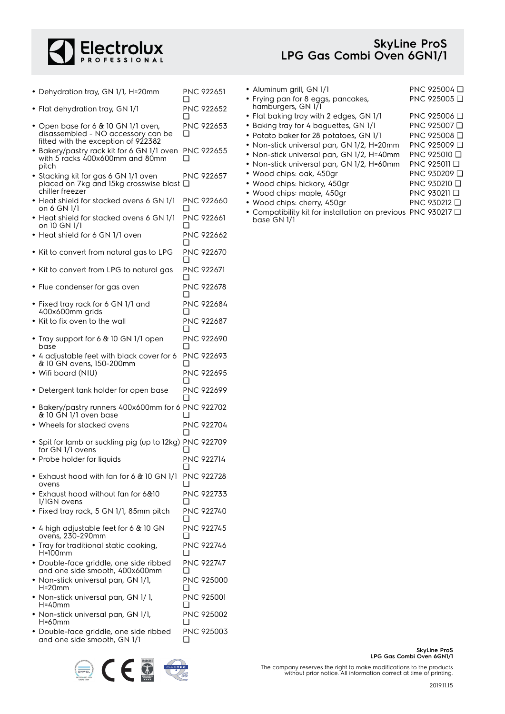

### **SkyLine ProS LPG Gas Combi Oven 6GN1/1**

- Dehydration tray, GN 1/1, H=20mm PNC 922651  $\Box$
- Flat dehydration tray, GN 1/1 PNC 922652
- ❑ • Open base for 6 & 10 GN 1/1 oven, PNC 922653
- disassembled NO accessory can be fitted with the exception of 922382 ❑
- Bakery/pastry rack kit for 6 GN 1/1 oven PNC 922655 with 5 racks 400x600mm and 80mm pitch ❑
- Stacking kit for gas 6 GN 1/1 oven placed on 7kg and 15kg crosswise blast ❑ chiller freezer PNC 922657
- Heat shield for stacked ovens 6 GN 1/1 on 6 GN 1/1 PNC 922660 ❑
- Heat shield for stacked ovens 6 GN 1/1 on 10 GN 1/1 PNC 922661  $\Box$
- Heat shield for 6 GN 1/1 oven PNC 922662  $\Box$
- Kit to convert from natural gas to LPG PNC 922670  $\Box$
- Kit to convert from LPG to natural gas PNC 922671
- Flue condenser for gas oven PNC 922678  $\Box$

❑

- Fixed tray rack for 6 GN 1/1 and 400x600mm grids PNC 922684 ❑ • Kit to fix oven to the wall PNC 922687 ❑
- Tray support for 6 & 10 GN 1/1 open base PNC 922690  $\Box$ • 4 adjustable feet with black cover for 6 PNC 922693
- & 10 GN ovens, 150-200mm ❑ • Wifi board (NIU) PNC 922695 ❑ • Detergent tank holder for open base PNC 922699
- ❑ • Bakery/pastry runners 400x600mm for 6 PNC 922702 & 10 GN 1/1 oven base  $\Box$
- Wheels for stacked ovens PNC 922704  $\Box$ • Spit for lamb or suckling pig (up to 12kg) PNC 922709 ❑
- for GN 1/1 ovens • Probe holder for liquids PNC 922714 ❑
- Exhaust hood with fan for 6 & 10 GN 1/1 ovens PNC 922728 ❑
- Exhaust hood without fan for 6&10 1/1GN ovens PNC 922733  $\Box$ • Fixed tray rack, 5 GN 1/1, 85mm pitch PNC 922740  $\Box$
- 4 high adjustable feet for 6 & 10 GN ovens, 230-290mm PNC 922745  $\Box$
- Tray for traditional static cooking, H=100mm PNC 922746  $\Box$ • Double-face griddle, one side ribbed PNC 922747
- and one side smooth, 400x600mm ❑ • Non-stick universal pan, GN 1/1, H=20mm PNC 925000 ❑
- Non-stick universal pan, GN 1/ 1, H=40mm PNC 925001 ❑
- Non-stick universal pan, GN 1/1, H=60mm PNC 925002  $\Box$
- Double-face griddle, one side ribbed and one side smooth, GN 1/1 PNC 925003  $\Box$



| • Aluminum grill, GN 1/1                                 | PNC 925004 <b>□</b> |
|----------------------------------------------------------|---------------------|
| • Frying pan for 8 eggs, pancakes,<br>hamburgers, GN 1/1 | PNC 925005 □        |
| • Flat baking tray with 2 edges, GN 1/1                  | PNC 925006 <b>□</b> |
| • Baking tray for 4 baguettes, GN 1/1                    | PNC 925007 Q        |
| • Potato baker for 28 potatoes, GN 1/1                   | PNC 925008 <b>□</b> |
| • Non-stick universal pan, GN 1/2, H=20mm                | PNC 925009 <b>□</b> |
| • Non-stick universal pan, GN 1/2, H=40mm                | PNC 925010 Q        |
| • Non-stick universal pan, GN 1/2, H=60mm                | PNC 925011 Q        |
| • Wood chips: oak, 450gr                                 | PNC 930209 <b>□</b> |
| • Wood chips: hickory, 450gr                             | PNC 930210 Q        |
| · Wood chips: maple, 450gr                               | PNC 930211 Q        |
|                                                          |                     |

• Wood chips: cherry, 450gr PNC 930212 ❑ • Compatibility kit for installation on previous PNC 930217 ❑base GN 1/1

> **SkyLine ProS LPG Gas Combi Oven 6GN1/1**

The company reserves the right to make modifications to the products without prior notice. All information correct at time of printing.